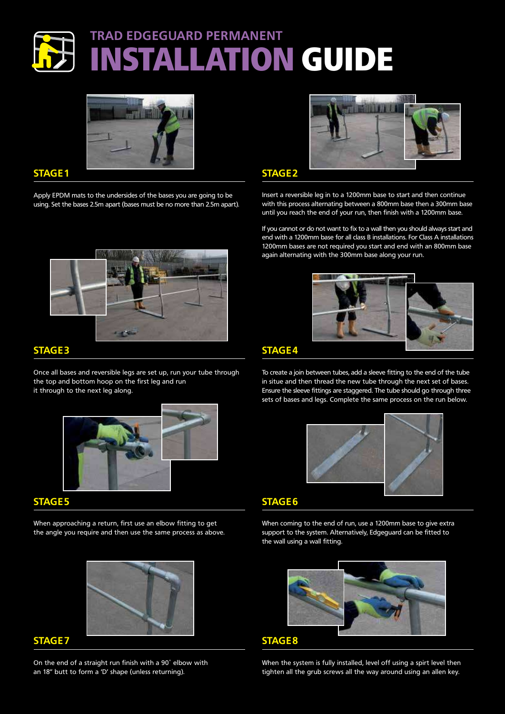# **TRAD EDGEGUARD PERMANENT INSTALLATION GUIDE**



#### **STAGE 1**

Apply EPDM mats to the undersides of the bases you are going to be using. Set the bases 2.5m apart (bases must be no more than 2.5m apart).



## **STAGE 3**

Once all bases and reversible legs are set up, run your tube through the top and bottom hoop on the first leg and run it through to the next leg along.



## **STAGE 5**

When approaching a return, first use an elbow fitting to get the angle you require and then use the same process as above.



### **STAGE 7**

On the end of a straight run finish with a 90˚ elbow with an 18" butt to form a 'D' shape (unless returning).



**STAGE 2**

Insert a reversible leg in to a 1200mm base to start and then continue with this process alternating between a 800mm base then a 300mm base until you reach the end of your run, then finish with a 1200mm base.

If you cannot or do not want to fix to a wall then you should always start and end with a 1200mm base for all class B installations. For Class A installations 1200mm bases are not required you start and end with an 800mm base again alternating with the 300mm base along your run.



### **STAGE 4**

To create a join between tubes, add a sleeve fitting to the end of the tube in situe and then thread the new tube through the next set of bases. Ensure the sleeve fittings are staggered. The tube should go through three sets of bases and legs. Complete the same process on the run below.



## **STAGE 6**

When coming to the end of run, use a 1200mm base to give extra support to the system. Alternatively, Edgeguard can be fitted to the wall using a wall fitting.



#### **STAGE 8**

When the system is fully installed, level off using a spirt level then tighten all the grub screws all the way around using an allen key.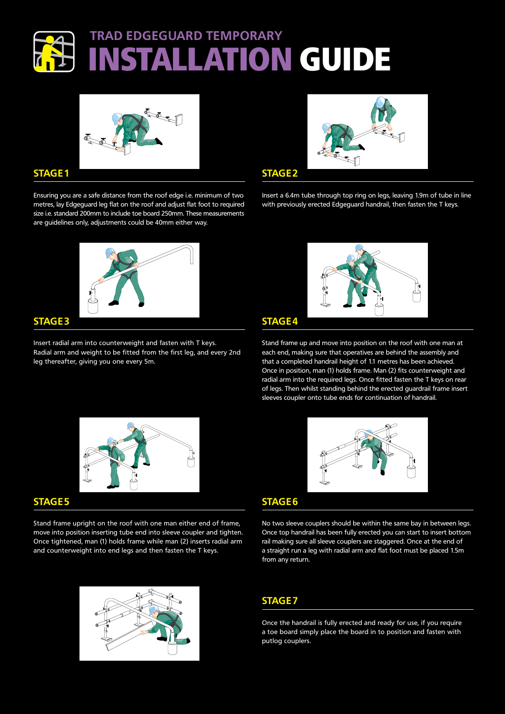# **TRAD EDGEGUARD TEMPORARY INSTALLATION GUIDE**



#### **STAGE 1**

Ensuring you are a safe distance from the roof edge i.e. minimum of two metres, lay Edgeguard leg flat on the roof and adjust flat foot to required size i.e. standard 200mm to include toe board 250mm. These measurements are guidelines only, adjustments could be 40mm either way.



#### **STAGE 3**

Insert radial arm into counterweight and fasten with T keys. Radial arm and weight to be fitted from the first leg, and every 2nd leg thereafter, giving you one every 5m.



**STAGE 2**

Insert a 6.4m tube through top ring on legs, leaving 1.9m of tube in line with previously erected Edgeguard handrail, then fasten the T keys.



#### **STAGE 4**

Stand frame up and move into position on the roof with one man at each end, making sure that operatives are behind the assembly and that a completed handrail height of 1.1 metres has been achieved. Once in position, man (1) holds frame. Man (2) fits counterweight and radial arm into the required legs. Once fitted fasten the T keys on rear of legs. Then whilst standing behind the erected guardrail frame insert sleeves coupler onto tube ends for continuation of handrail.



#### **STAGE 5**

Stand frame upright on the roof with one man either end of frame, move into position inserting tube end into sleeve coupler and tighten. Once tightened, man (1) holds frame while man (2) inserts radial arm and counterweight into end legs and then fasten the T keys.





### **STAGE 6**

No two sleeve couplers should be within the same bay in between legs. Once top handrail has been fully erected you can start to insert bottom rail making sure all sleeve couplers are staggered. Once at the end of a straight run a leg with radial arm and flat foot must be placed 1.5m from any return.

## **STAGE 7**

Once the handrail is fully erected and ready for use, if you require a toe board simply place the board in to position and fasten with putlog couplers.